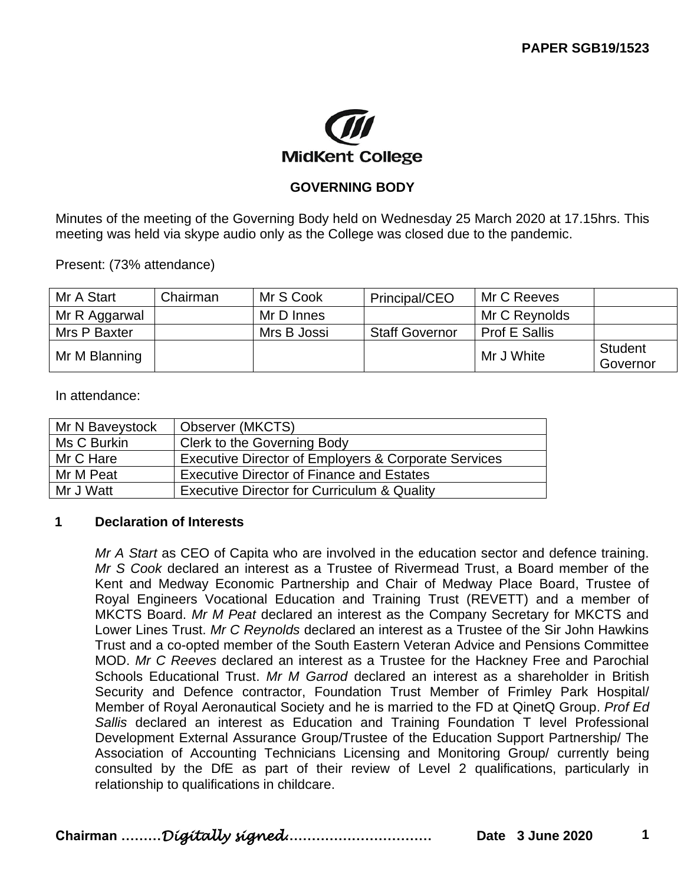

### **GOVERNING BODY**

Minutes of the meeting of the Governing Body held on Wednesday 25 March 2020 at 17.15hrs. This meeting was held via skype audio only as the College was closed due to the pandemic.

Present: (73% attendance)

| Mr A Start    | Chairman | Mr S Cook   | Principal/CEO         | Mr C Reeves          |                            |
|---------------|----------|-------------|-----------------------|----------------------|----------------------------|
| Mr R Aggarwal |          | Mr D Innes  |                       | Mr C Reynolds        |                            |
| Mrs P Baxter  |          | Mrs B Jossi | <b>Staff Governor</b> | <b>Prof E Sallis</b> |                            |
| Mr M Blanning |          |             |                       | Mr J White           | <b>Student</b><br>Governor |

In attendance:

| Mr N Baveystock | Observer (MKCTS)                                       |
|-----------------|--------------------------------------------------------|
| Ms C Burkin     | Clerk to the Governing Body                            |
| Mr C Hare       | Executive Director of Employers & Corporate Services   |
| Mr M Peat       | <b>Executive Director of Finance and Estates</b>       |
| Mr J Watt       | <b>Executive Director for Curriculum &amp; Quality</b> |

#### **1 Declaration of Interests**

*Mr A Start* as CEO of Capita who are involved in the education sector and defence training. *Mr S Cook* declared an interest as a Trustee of Rivermead Trust, a Board member of the Kent and Medway Economic Partnership and Chair of Medway Place Board, Trustee of Royal Engineers Vocational Education and Training Trust (REVETT) and a member of MKCTS Board. *Mr M Peat* declared an interest as the Company Secretary for MKCTS and Lower Lines Trust. *Mr C Reynolds* declared an interest as a Trustee of the Sir John Hawkins Trust and a co-opted member of the South Eastern Veteran Advice and Pensions Committee MOD. *Mr C Reeves* declared an interest as a Trustee for the Hackney Free and Parochial Schools Educational Trust. *Mr M Garrod* declared an interest as a shareholder in British Security and Defence contractor, Foundation Trust Member of Frimley Park Hospital/ Member of Royal Aeronautical Society and he is married to the FD at QinetQ Group. *Prof Ed Sallis* declared an interest as Education and Training Foundation T level Professional Development External Assurance Group/Trustee of the Education Support Partnership/ The Association of Accounting Technicians Licensing and Monitoring Group/ currently being consulted by the DfE as part of their review of Level 2 qualifications, particularly in relationship to qualifications in childcare.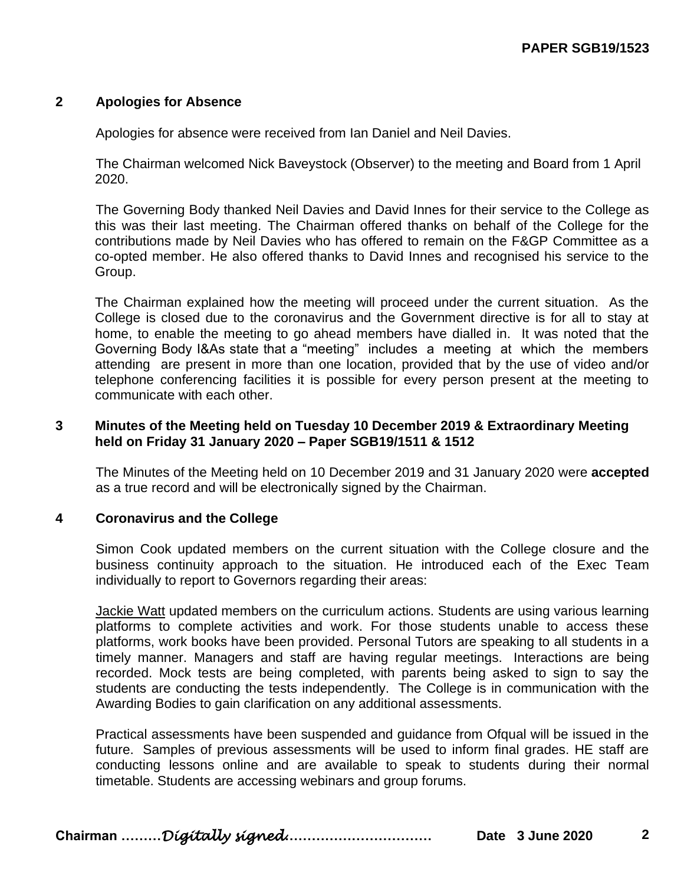#### **2 Apologies for Absence**

Apologies for absence were received from Ian Daniel and Neil Davies.

The Chairman welcomed Nick Baveystock (Observer) to the meeting and Board from 1 April 2020.

The Governing Body thanked Neil Davies and David Innes for their service to the College as this was their last meeting. The Chairman offered thanks on behalf of the College for the contributions made by Neil Davies who has offered to remain on the F&GP Committee as a co-opted member. He also offered thanks to David Innes and recognised his service to the Group.

The Chairman explained how the meeting will proceed under the current situation. As the College is closed due to the coronavirus and the Government directive is for all to stay at home, to enable the meeting to go ahead members have dialled in. It was noted that the Governing Body I&As state that a "meeting" includes a meeting at which the members attending are present in more than one location, provided that by the use of video and/or telephone conferencing facilities it is possible for every person present at the meeting to communicate with each other.

#### **3 Minutes of the Meeting held on Tuesday 10 December 2019 & Extraordinary Meeting held on Friday 31 January 2020 – Paper SGB19/1511 & 1512**

The Minutes of the Meeting held on 10 December 2019 and 31 January 2020 were **accepted** as a true record and will be electronically signed by the Chairman.

#### **4 Coronavirus and the College**

Simon Cook updated members on the current situation with the College closure and the business continuity approach to the situation. He introduced each of the Exec Team individually to report to Governors regarding their areas:

Jackie Watt updated members on the curriculum actions. Students are using various learning platforms to complete activities and work. For those students unable to access these platforms, work books have been provided. Personal Tutors are speaking to all students in a timely manner. Managers and staff are having regular meetings. Interactions are being recorded. Mock tests are being completed, with parents being asked to sign to say the students are conducting the tests independently. The College is in communication with the Awarding Bodies to gain clarification on any additional assessments.

Practical assessments have been suspended and guidance from Ofqual will be issued in the future. Samples of previous assessments will be used to inform final grades. HE staff are conducting lessons online and are available to speak to students during their normal timetable. Students are accessing webinars and group forums.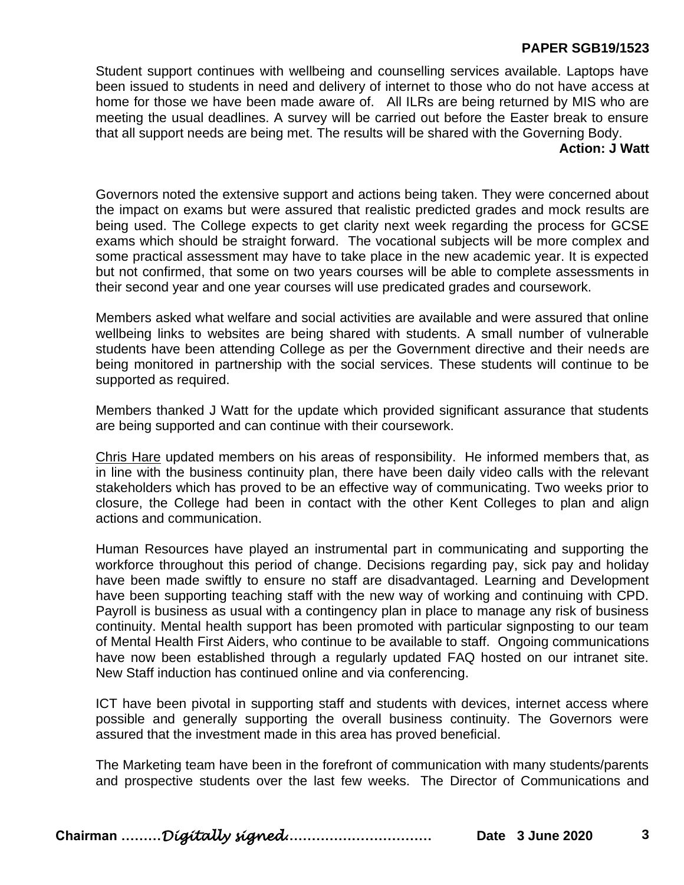# **PAPER SGB19/1523**

Student support continues with wellbeing and counselling services available. Laptops have been issued to students in need and delivery of internet to those who do not have access at home for those we have been made aware of. All ILRs are being returned by MIS who are meeting the usual deadlines. A survey will be carried out before the Easter break to ensure that all support needs are being met. The results will be shared with the Governing Body.

#### **Action: J Watt**

Governors noted the extensive support and actions being taken. They were concerned about the impact on exams but were assured that realistic predicted grades and mock results are being used. The College expects to get clarity next week regarding the process for GCSE exams which should be straight forward. The vocational subjects will be more complex and some practical assessment may have to take place in the new academic year. It is expected but not confirmed, that some on two years courses will be able to complete assessments in their second year and one year courses will use predicated grades and coursework.

Members asked what welfare and social activities are available and were assured that online wellbeing links to websites are being shared with students. A small number of vulnerable students have been attending College as per the Government directive and their needs are being monitored in partnership with the social services. These students will continue to be supported as required.

Members thanked J Watt for the update which provided significant assurance that students are being supported and can continue with their coursework.

Chris Hare updated members on his areas of responsibility. He informed members that, as in line with the business continuity plan, there have been daily video calls with the relevant stakeholders which has proved to be an effective way of communicating. Two weeks prior to closure, the College had been in contact with the other Kent Colleges to plan and align actions and communication.

Human Resources have played an instrumental part in communicating and supporting the workforce throughout this period of change. Decisions regarding pay, sick pay and holiday have been made swiftly to ensure no staff are disadvantaged. Learning and Development have been supporting teaching staff with the new way of working and continuing with CPD. Payroll is business as usual with a contingency plan in place to manage any risk of business continuity. Mental health support has been promoted with particular signposting to our team of Mental Health First Aiders, who continue to be available to staff. Ongoing communications have now been established through a regularly updated FAQ hosted on our intranet site. New Staff induction has continued online and via conferencing.

ICT have been pivotal in supporting staff and students with devices, internet access where possible and generally supporting the overall business continuity. The Governors were assured that the investment made in this area has proved beneficial.

The Marketing team have been in the forefront of communication with many students/parents and prospective students over the last few weeks. The Director of Communications and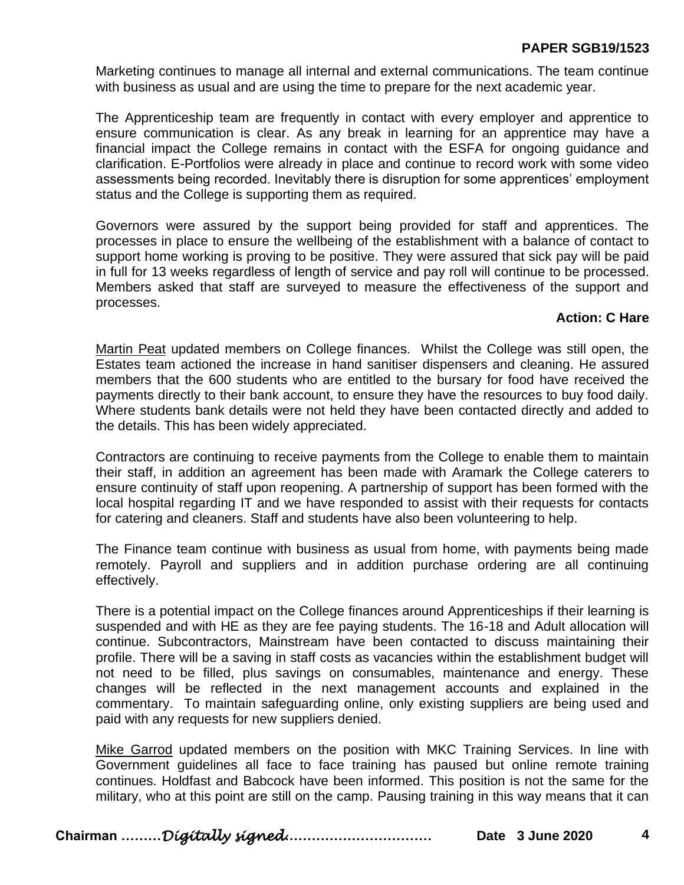# **PAPER SGB19/1523**

Marketing continues to manage all internal and external communications. The team continue with business as usual and are using the time to prepare for the next academic year.

The Apprenticeship team are frequently in contact with every employer and apprentice to ensure communication is clear. As any break in learning for an apprentice may have a financial impact the College remains in contact with the ESFA for ongoing guidance and clarification. E-Portfolios were already in place and continue to record work with some video assessments being recorded. Inevitably there is disruption for some apprentices' employment status and the College is supporting them as required.

Governors were assured by the support being provided for staff and apprentices. The processes in place to ensure the wellbeing of the establishment with a balance of contact to support home working is proving to be positive. They were assured that sick pay will be paid in full for 13 weeks regardless of length of service and pay roll will continue to be processed. Members asked that staff are surveyed to measure the effectiveness of the support and processes.

# **Action: C Hare**

Martin Peat updated members on College finances. Whilst the College was still open, the Estates team actioned the increase in hand sanitiser dispensers and cleaning. He assured members that the 600 students who are entitled to the bursary for food have received the payments directly to their bank account, to ensure they have the resources to buy food daily. Where students bank details were not held they have been contacted directly and added to the details. This has been widely appreciated.

Contractors are continuing to receive payments from the College to enable them to maintain their staff, in addition an agreement has been made with Aramark the College caterers to ensure continuity of staff upon reopening. A partnership of support has been formed with the local hospital regarding IT and we have responded to assist with their requests for contacts for catering and cleaners. Staff and students have also been volunteering to help.

The Finance team continue with business as usual from home, with payments being made remotely. Payroll and suppliers and in addition purchase ordering are all continuing effectively.

There is a potential impact on the College finances around Apprenticeships if their learning is suspended and with HE as they are fee paying students. The 16-18 and Adult allocation will continue. Subcontractors, Mainstream have been contacted to discuss maintaining their profile. There will be a saving in staff costs as vacancies within the establishment budget will not need to be filled, plus savings on consumables, maintenance and energy. These changes will be reflected in the next management accounts and explained in the commentary. To maintain safeguarding online, only existing suppliers are being used and paid with any requests for new suppliers denied.

Mike Garrod updated members on the position with MKC Training Services. In line with Government guidelines all face to face training has paused but online remote training continues. Holdfast and Babcock have been informed. This position is not the same for the military, who at this point are still on the camp. Pausing training in this way means that it can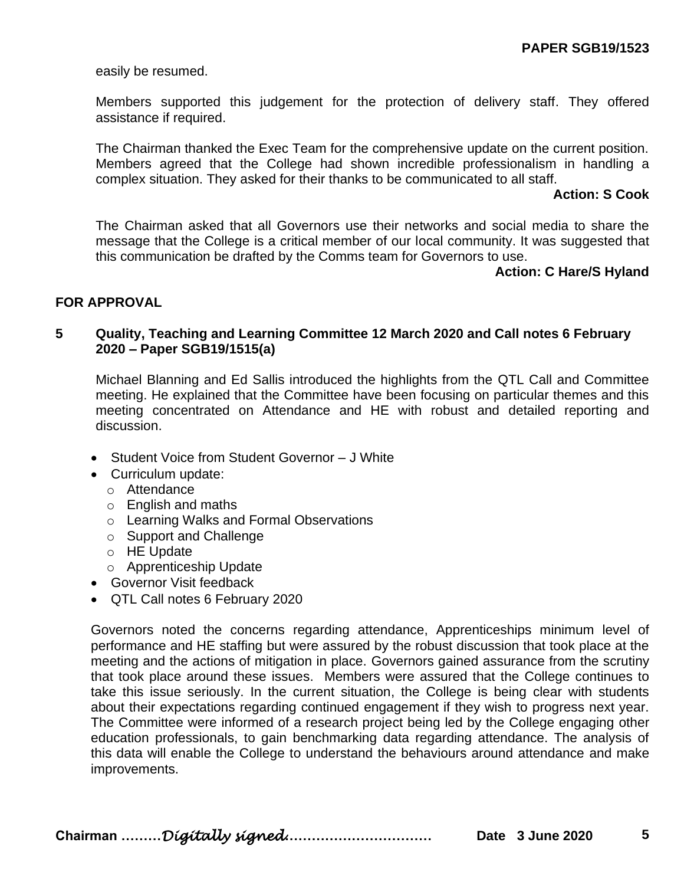easily be resumed.

Members supported this judgement for the protection of delivery staff. They offered assistance if required.

The Chairman thanked the Exec Team for the comprehensive update on the current position. Members agreed that the College had shown incredible professionalism in handling a complex situation. They asked for their thanks to be communicated to all staff.

#### **Action: S Cook**

The Chairman asked that all Governors use their networks and social media to share the message that the College is a critical member of our local community. It was suggested that this communication be drafted by the Comms team for Governors to use.

#### **Action: C Hare/S Hyland**

# **FOR APPROVAL**

#### **5 Quality, Teaching and Learning Committee 12 March 2020 and Call notes 6 February 2020 – Paper SGB19/1515(a)**

Michael Blanning and Ed Sallis introduced the highlights from the QTL Call and Committee meeting. He explained that the Committee have been focusing on particular themes and this meeting concentrated on Attendance and HE with robust and detailed reporting and discussion.

- Student Voice from Student Governor J White
- Curriculum update:
	- o Attendance
	- o English and maths
	- o Learning Walks and Formal Observations
	- o Support and Challenge
	- o HE Update
	- o Apprenticeship Update
- Governor Visit feedback
- QTL Call notes 6 February 2020

Governors noted the concerns regarding attendance, Apprenticeships minimum level of performance and HE staffing but were assured by the robust discussion that took place at the meeting and the actions of mitigation in place. Governors gained assurance from the scrutiny that took place around these issues. Members were assured that the College continues to take this issue seriously. In the current situation, the College is being clear with students about their expectations regarding continued engagement if they wish to progress next year. The Committee were informed of a research project being led by the College engaging other education professionals, to gain benchmarking data regarding attendance. The analysis of this data will enable the College to understand the behaviours around attendance and make improvements.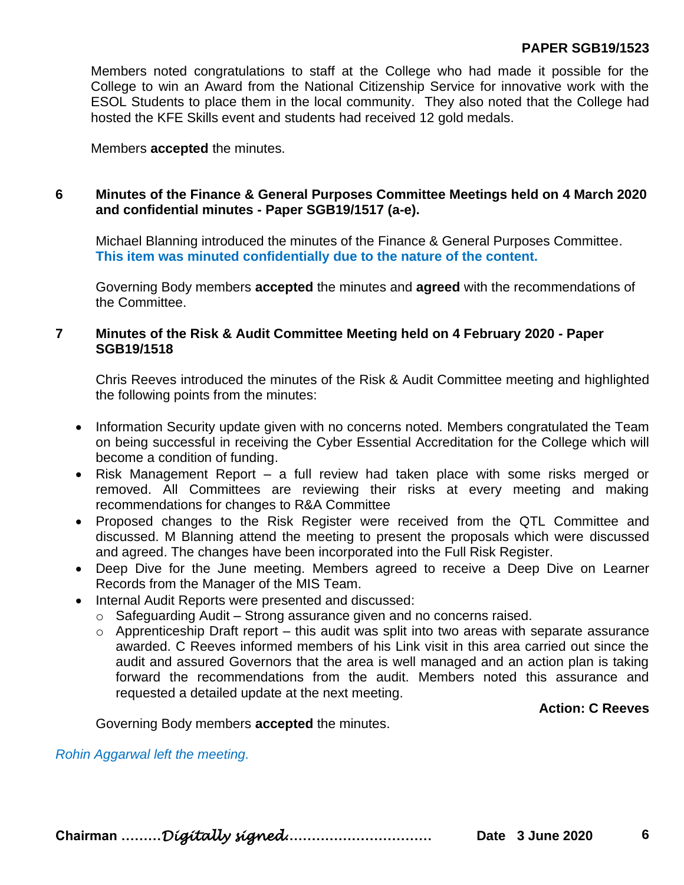Members noted congratulations to staff at the College who had made it possible for the College to win an Award from the National Citizenship Service for innovative work with the ESOL Students to place them in the local community. They also noted that the College had hosted the KFE Skills event and students had received 12 gold medals.

Members **accepted** the minutes.

# **6 Minutes of the Finance & General Purposes Committee Meetings held on 4 March 2020 and confidential minutes - Paper SGB19/1517 (a-e).**

Michael Blanning introduced the minutes of the Finance & General Purposes Committee. **This item was minuted confidentially due to the nature of the content.**

Governing Body members **accepted** the minutes and **agreed** with the recommendations of the Committee.

### **7 Minutes of the Risk & Audit Committee Meeting held on 4 February 2020 - Paper SGB19/1518**

Chris Reeves introduced the minutes of the Risk & Audit Committee meeting and highlighted the following points from the minutes:

- Information Security update given with no concerns noted. Members congratulated the Team on being successful in receiving the Cyber Essential Accreditation for the College which will become a condition of funding.
- Risk Management Report a full review had taken place with some risks merged or removed. All Committees are reviewing their risks at every meeting and making recommendations for changes to R&A Committee
- Proposed changes to the Risk Register were received from the QTL Committee and discussed. M Blanning attend the meeting to present the proposals which were discussed and agreed. The changes have been incorporated into the Full Risk Register.
- Deep Dive for the June meeting. Members agreed to receive a Deep Dive on Learner Records from the Manager of the MIS Team.
- Internal Audit Reports were presented and discussed:
	- $\circ$  Safeguarding Audit Strong assurance given and no concerns raised.
	- $\circ$  Apprenticeship Draft report this audit was split into two areas with separate assurance awarded. C Reeves informed members of his Link visit in this area carried out since the audit and assured Governors that the area is well managed and an action plan is taking forward the recommendations from the audit. Members noted this assurance and requested a detailed update at the next meeting.

**Action: C Reeves**

Governing Body members **accepted** the minutes.

*Rohin Aggarwal left the meeting.*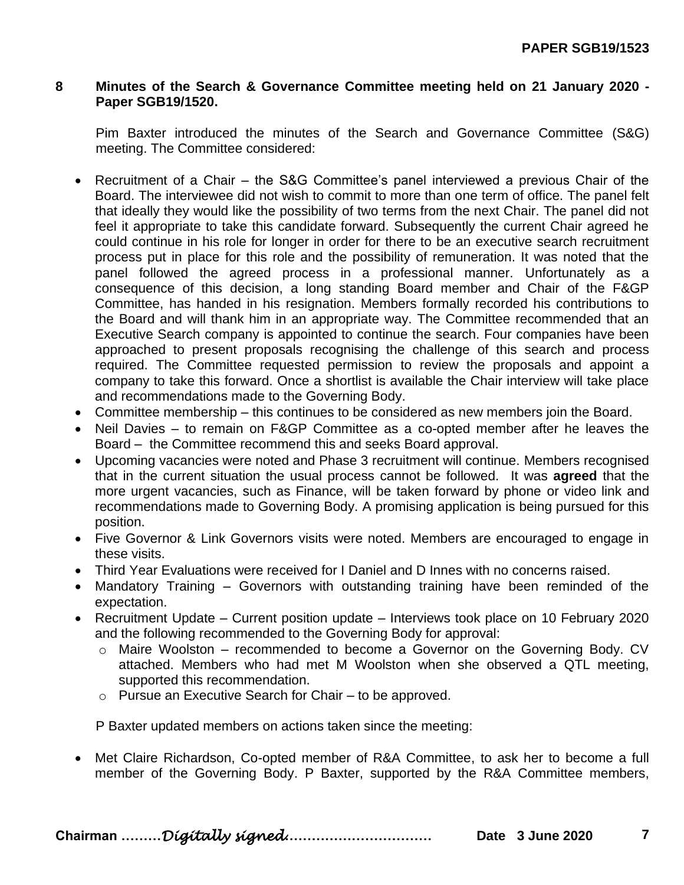#### **8 Minutes of the Search & Governance Committee meeting held on 21 January 2020 - Paper SGB19/1520.**

Pim Baxter introduced the minutes of the Search and Governance Committee (S&G) meeting. The Committee considered:

- Recruitment of a Chair the S&G Committee's panel interviewed a previous Chair of the Board. The interviewee did not wish to commit to more than one term of office. The panel felt that ideally they would like the possibility of two terms from the next Chair. The panel did not feel it appropriate to take this candidate forward. Subsequently the current Chair agreed he could continue in his role for longer in order for there to be an executive search recruitment process put in place for this role and the possibility of remuneration. It was noted that the panel followed the agreed process in a professional manner. Unfortunately as a consequence of this decision, a long standing Board member and Chair of the F&GP Committee, has handed in his resignation. Members formally recorded his contributions to the Board and will thank him in an appropriate way. The Committee recommended that an Executive Search company is appointed to continue the search. Four companies have been approached to present proposals recognising the challenge of this search and process required. The Committee requested permission to review the proposals and appoint a company to take this forward. Once a shortlist is available the Chair interview will take place and recommendations made to the Governing Body.
- Committee membership this continues to be considered as new members join the Board.
- Neil Davies to remain on F&GP Committee as a co-opted member after he leaves the Board – the Committee recommend this and seeks Board approval.
- Upcoming vacancies were noted and Phase 3 recruitment will continue. Members recognised that in the current situation the usual process cannot be followed. It was **agreed** that the more urgent vacancies, such as Finance, will be taken forward by phone or video link and recommendations made to Governing Body. A promising application is being pursued for this position.
- Five Governor & Link Governors visits were noted. Members are encouraged to engage in these visits.
- Third Year Evaluations were received for I Daniel and D Innes with no concerns raised.
- Mandatory Training Governors with outstanding training have been reminded of the expectation.
- Recruitment Update Current position update Interviews took place on 10 February 2020 and the following recommended to the Governing Body for approval:
	- o Maire Woolston recommended to become a Governor on the Governing Body. CV attached. Members who had met M Woolston when she observed a QTL meeting, supported this recommendation.
	- o Pursue an Executive Search for Chair to be approved.

P Baxter updated members on actions taken since the meeting:

• Met Claire Richardson, Co-opted member of R&A Committee, to ask her to become a full member of the Governing Body. P Baxter, supported by the R&A Committee members,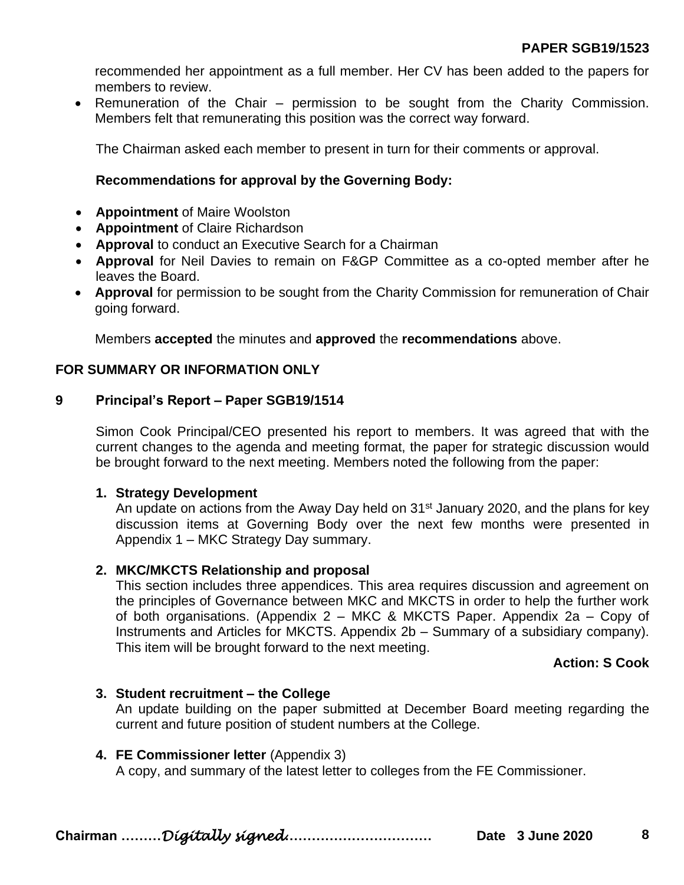recommended her appointment as a full member. Her CV has been added to the papers for members to review.

• Remuneration of the Chair – permission to be sought from the Charity Commission. Members felt that remunerating this position was the correct way forward.

The Chairman asked each member to present in turn for their comments or approval.

# **Recommendations for approval by the Governing Body:**

- **Appointment** of Maire Woolston
- **Appointment** of Claire Richardson
- **Approval** to conduct an Executive Search for a Chairman
- **Approval** for Neil Davies to remain on F&GP Committee as a co-opted member after he leaves the Board.
- **Approval** for permission to be sought from the Charity Commission for remuneration of Chair going forward.

Members **accepted** the minutes and **approved** the **recommendations** above.

#### **FOR SUMMARY OR INFORMATION ONLY**

# **9 Principal's Report – Paper SGB19/1514**

Simon Cook Principal/CEO presented his report to members. It was agreed that with the current changes to the agenda and meeting format, the paper for strategic discussion would be brought forward to the next meeting. Members noted the following from the paper:

# **1. Strategy Development**

An update on actions from the Away Day held on 31<sup>st</sup> January 2020, and the plans for key discussion items at Governing Body over the next few months were presented in Appendix 1 – MKC Strategy Day summary.

# **2. MKC/MKCTS Relationship and proposal**

This section includes three appendices. This area requires discussion and agreement on the principles of Governance between MKC and MKCTS in order to help the further work of both organisations. (Appendix 2 – MKC & MKCTS Paper. Appendix 2a – Copy of Instruments and Articles for MKCTS. Appendix 2b – Summary of a subsidiary company). This item will be brought forward to the next meeting.

# **Action: S Cook**

# **3. Student recruitment – the College**

An update building on the paper submitted at December Board meeting regarding the current and future position of student numbers at the College.

#### **4. FE Commissioner letter** (Appendix 3)

A copy, and summary of the latest letter to colleges from the FE Commissioner.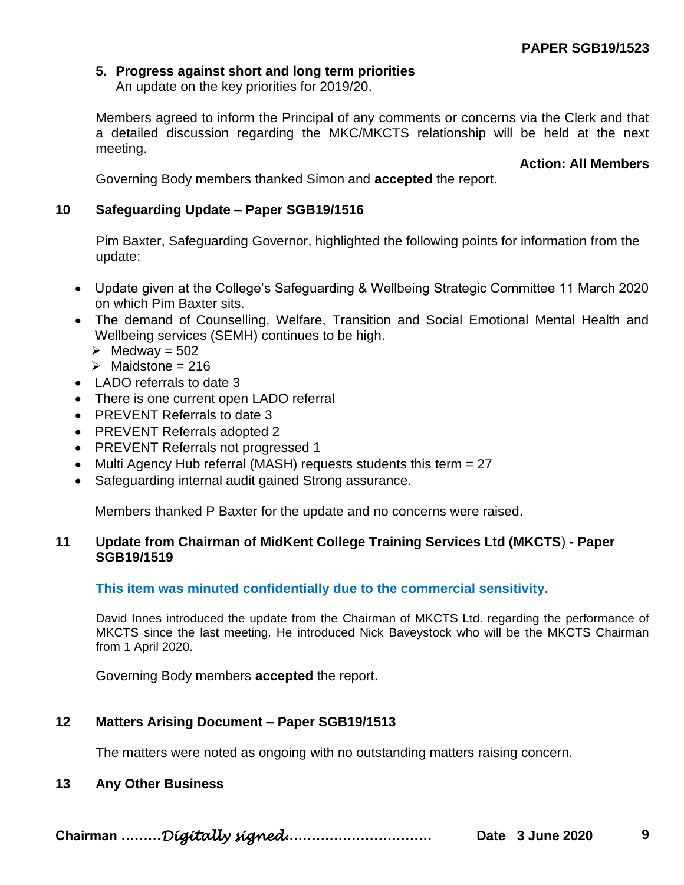# **5. Progress against short and long term priorities**

An update on the key priorities for 2019/20.

Members agreed to inform the Principal of any comments or concerns via the Clerk and that a detailed discussion regarding the MKC/MKCTS relationship will be held at the next meeting.

**Action: All Members**

Governing Body members thanked Simon and **accepted** the report.

# **10 Safeguarding Update – Paper SGB19/1516**

Pim Baxter, Safeguarding Governor, highlighted the following points for information from the update:

- Update given at the College's Safeguarding & Wellbeing Strategic Committee 11 March 2020 on which Pim Baxter sits.
- The demand of Counselling, Welfare, Transition and Social Emotional Mental Health and Wellbeing services (SEMH) continues to be high.
	- $\triangleright$  Medway = 502
	- $\triangleright$  Maidstone = 216
- LADO referrals to date 3
- There is one current open LADO referral
- PREVENT Referrals to date 3
- PREVENT Referrals adopted 2
- PREVENT Referrals not progressed 1
- Multi Agency Hub referral (MASH) requests students this term = 27
- Safeguarding internal audit gained Strong assurance.

Members thanked P Baxter for the update and no concerns were raised.

# **11 Update from Chairman of MidKent College Training Services Ltd (MKCTS**) **- Paper SGB19/1519**

#### **This item was minuted confidentially due to the commercial sensitivity.**

David Innes introduced the update from the Chairman of MKCTS Ltd. regarding the performance of MKCTS since the last meeting. He introduced Nick Baveystock who will be the MKCTS Chairman from 1 April 2020.

Governing Body members **accepted** the report.

# **12 Matters Arising Document – Paper SGB19/1513**

The matters were noted as ongoing with no outstanding matters raising concern.

# **13 Any Other Business**